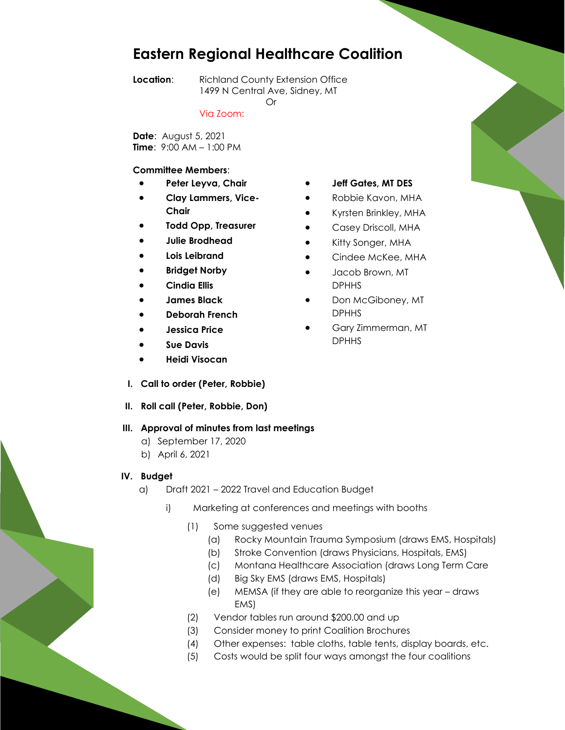# **Eastern Regional Healthcare Coalition**

Or

**Location:** Richland County Extension Office 1499 N Central Ave, Sidney, MT

Via Zoom:

**Date**: August 5, 2021 **Time**: 9:00 AM – 1:00 PM

#### **Committee Members**:

- **Peter Leyva, Chair**
- **Clay Lammers, Vice-Chair**
- **Todd Opp, Treasurer**
- **Julie Brodhead**
- **Lois Leibrand**
- **Bridget Norby**
- **Cindia Ellis**
- **James Black**
- **Deborah French**
- **Jessica Price**
- **Sue Davis**
- **Heidi Visocan**
- **I. Call to order (Peter, Robbie)**
- **II. Roll call (Peter, Robbie, Don)**

#### **III. Approval of minutes from last meetings**

- a) September 17, 2020
- b) April 6, 2021
- **IV. Budget**
	- a) Draft 2021 2022 Travel and Education Budget
		- i) Marketing at conferences and meetings with booths
			- (1) Some suggested venues
				- (a) Rocky Mountain Trauma Symposium (draws EMS, Hospitals)
				- (b) Stroke Convention (draws Physicians, Hospitals, EMS)
				- (c) Montana Healthcare Association (draws Long Term Care
				- (d) Big Sky EMS (draws EMS, Hospitals)
				- (e) MEMSA (if they are able to reorganize this year draws EMS)
			- (2) Vendor tables run around \$200.00 and up
			- (3) Consider money to print Coalition Brochures
			- (4) Other expenses: table cloths, table tents, display boards, etc.
			- (5) Costs would be split four ways amongst the four coalitions
- **Jeff Gates, MT DES**
- Robbie Kavon, MHA
- Kyrsten Brinkley, MHA
- Casey Driscoll, MHA
- Kitty Songer, MHA
- Cindee McKee, MHA
- Jacob Brown, MT DPHHS
- Don McGiboney, MT DPHHS
- Gary Zimmerman, MT DPHHS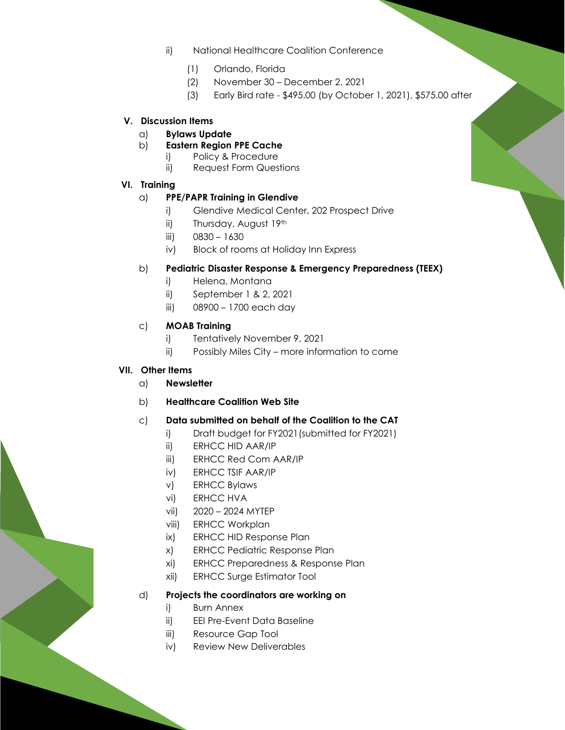- ii) National Healthcare Coalition Conference
	- (1) Orlando, Florida
	- (2) November 30 December 2, 2021
	- (3) Early Bird rate \$495.00 (by October 1, 2021), \$575.00 after

#### **V. Discussion Items**

- a) **Bylaws Update**
- b) **Eastern Region PPE Cache**
	- i) Policy & Procedure
	- ii) Request Form Questions
- **VI. Training**

## a) **PPE/PAPR Training in Glendive**

- i) Glendive Medical Center, 202 Prospect Drive
- ii) Thursday, August 19th
- iii)  $0830 1630$
- iv) Block of rooms at Holiday Inn Express

## b) **Pediatric Disaster Response & Emergency Preparedness (TEEX)**

- i) Helena, Montana
- ii) September 1 & 2, 2021
- iii) 08900 1700 each day

## c) **MOAB Training**

- i) Tentatively November 9, 2021
- ii) Possibly Miles City more information to come

#### **VII. Other Items**

- a) **Newsletter**
- b) **Healthcare Coalition Web Site**

## c) **Data submitted on behalf of the Coalition to the CAT**

- i) Draft budget for FY2021(submitted for FY2021)
- ii) ERHCC HID AAR/IP
- iii) ERHCC Red Com AAR/IP
- iv) ERHCC TSIF AAR/IP
- v) ERHCC Bylaws
- vi) ERHCC HVA
- vii) 2020 2024 MYTEP
- viii) ERHCC Workplan
- ix) ERHCC HID Response Plan
- x) ERHCC Pediatric Response Plan
- xi) ERHCC Preparedness & Response Plan
- xii) ERHCC Surge Estimator Tool

#### d) **Projects the coordinators are working on**

- i) Burn Annex
- ii) EEI Pre-Event Data Baseline
- iii) Resource Gap Tool
- iv) Review New Deliverables